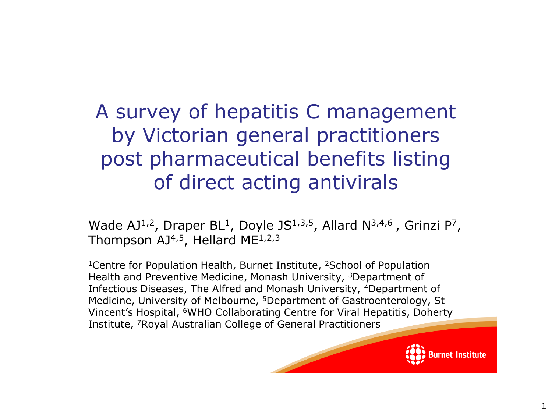# A survey of hepatitis C management by Victorian general practitioners post pharmaceutical benefits listing of direct acting antivirals

Wade AJ<sup>1,2</sup>, Draper BL<sup>1</sup>, Doyle JS<sup>1,3,5</sup>, Allard N<sup>3,4,6</sup>, Grinzi P<sup>7</sup>, Thompson  $AJ<sup>4,5</sup>$ , Hellard ME<sup>1,2,3</sup>

<sup>1</sup> Centre for Population Health, Burnet Institute, <sup>2</sup> School of Population Health and Preventive Medicine, Monash University, <sup>3</sup>Department of Infectious Diseases, The Alfred and Monash University, <sup>4</sup>Department of Medicine, University of Melbourne, <sup>5</sup>Department of Gastroenterology, St Vincent's Hospital, <sup>6</sup>WHO Collaborating Centre for Viral Hepatitis, Doherty Institute, 7Royal Australian College of General Practitioners



1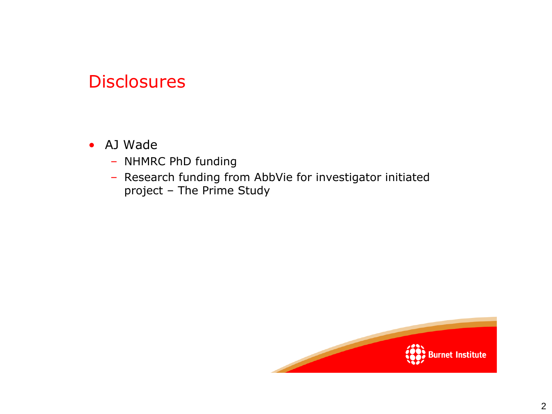#### **Disclosures**

- AJ Wade
	- NHMRC PhD funding
	- Research funding from AbbVie for investigator initiated project – The Prime Study

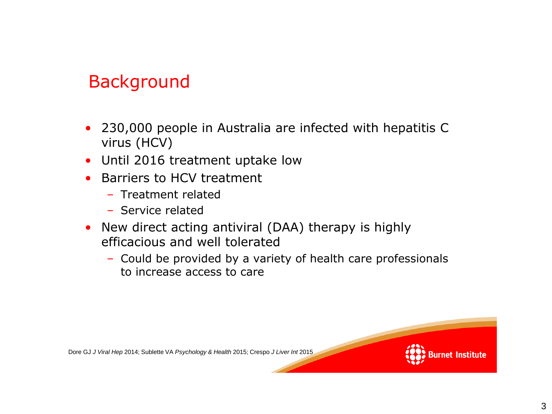# Background

- 230,000 people in Australia are infected with hepatitis C virus (HCV)
- Until 2016 treatment uptake low
- Barriers to HCV treatment
	- Treatment related
	- Service related
- New direct acting antiviral (DAA) therapy is highly efficacious and well tolerated
	- Could be provided by a variety of health care professionals to increase access to care

Dore GJ *J Viral Hep* 2014; Sublette VA *Psychology & Health* 2015; Crespo *J Liver Int* 2015

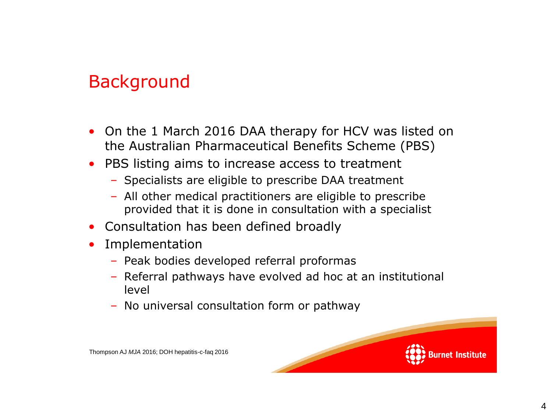# Background

- On the 1 March 2016 DAA therapy for HCV was listed on the Australian Pharmaceutical Benefits Scheme (PBS)
- PBS listing aims to increase access to treatment
	- Specialists are eligible to prescribe DAA treatment
	- All other medical practitioners are eligible to prescribe provided that it is done in consultation with a specialist
- Consultation has been defined broadly
- Implementation
	- Peak bodies developed referral proformas
	- Referral pathways have evolved ad hoc at an institutional level
	- No universal consultation form or pathway



Thompson AJ *MJA* 2016; DOH hepatitis-c-faq 2016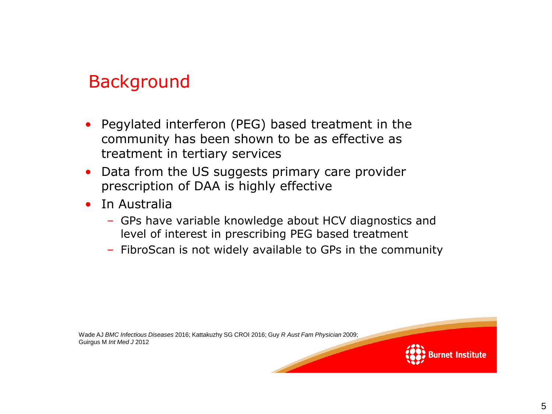# Background

- Pegylated interferon (PEG) based treatment in the community has been shown to be as effective as treatment in tertiary services
- Data from the US suggests primary care provider prescription of DAA is highly effective
- In Australia
	- GPs have variable knowledge about HCV diagnostics and level of interest in prescribing PEG based treatment
	- FibroScan is not widely available to GPs in the community

Wade AJ *BMC Infectious Diseases* 2016; Kattakuzhy SG CROI 2016; Guy *R Aust Fam Physician* 2009; Guirgus M *Int Med J* 2012

net Institute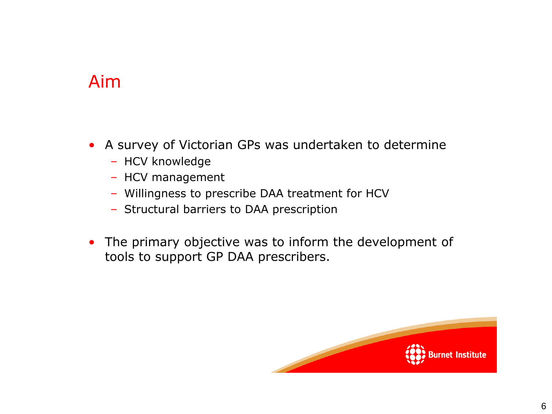#### Aim

- A survey of Victorian GPs was undertaken to determine
	- HCV knowledge
	- HCV management
	- Willingness to prescribe DAA treatment for HCV
	- Structural barriers to DAA prescription
- The primary objective was to inform the development of tools to support GP DAA prescribers.

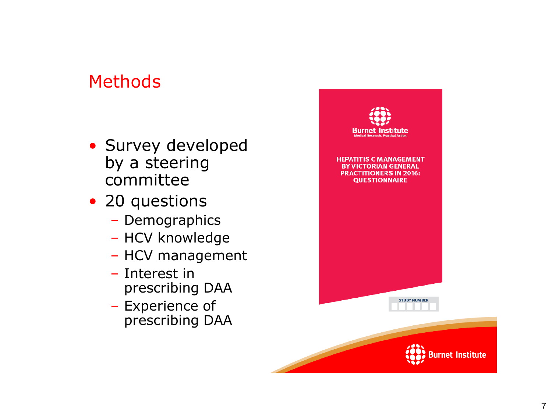# Methods

- Survey developed by a steering committee
- 20 questions
	- Demographics
	- HCV knowledge
	- HCV management
	- Interest in prescribing DAA
	- Experience of prescribing DAA

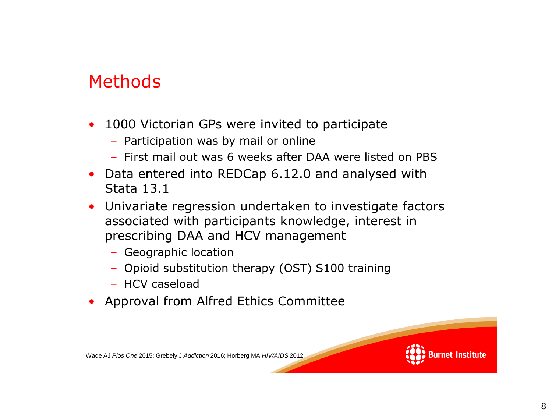#### Methods

- 1000 Victorian GPs were invited to participate
	- Participation was by mail or online
	- First mail out was 6 weeks after DAA were listed on PBS
- Data entered into REDCap 6.12.0 and analysed with Stata 13.1
- Univariate regression undertaken to investigate factors associated with participants knowledge, interest in prescribing DAA and HCV management
	- Geographic location
	- Opioid substitution therapy (OST) S100 training
	- HCV caseload
- Approval from Alfred Ethics Committee

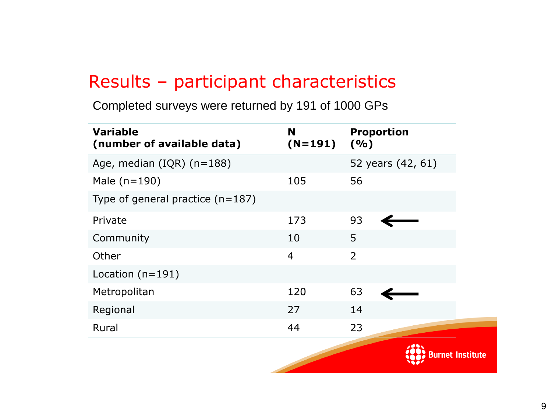#### Results – participant characteristics

Completed surveys were returned by 191 of 1000 GPs

| <b>Variable</b><br>(number of available data) | <b>N</b><br>$(N=191)$ | <b>Proportion</b><br>( %) |
|-----------------------------------------------|-----------------------|---------------------------|
| Age, median $(IQR)$ (n=188)                   |                       | 52 years (42, 61)         |
| Male $(n=190)$                                | 105                   | 56                        |
| Type of general practice $(n=187)$            |                       |                           |
| Private                                       | 173                   | 93                        |
| Community                                     | 10                    | 5                         |
| Other                                         | $\overline{4}$        | $\overline{2}$            |
| Location $(n=191)$                            |                       |                           |
| Metropolitan                                  | 120                   | 63                        |
| Regional                                      | 27                    | 14                        |
| Rural                                         | 44                    | 23                        |
|                                               |                       |                           |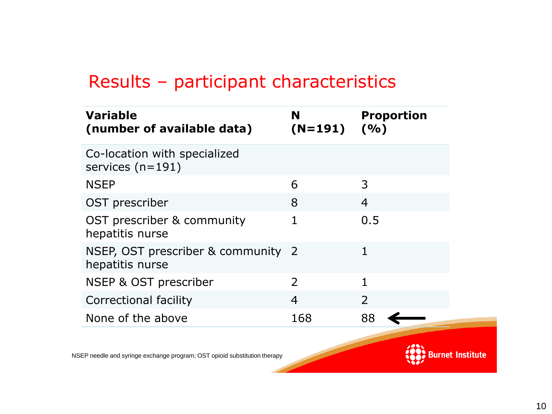### Results – participant characteristics

| <b>Variable</b><br>(number of available data)         | N<br>$(N=191)$ $(%$ ) | <b>Proportion</b>        |
|-------------------------------------------------------|-----------------------|--------------------------|
| Co-location with specialized<br>services $(n=191)$    |                       |                          |
| <b>NSEP</b>                                           | 6                     | 3                        |
| OST prescriber                                        | 8                     | $\overline{4}$           |
| OST prescriber & community<br>hepatitis nurse         | 1                     | 0.5                      |
| NSEP, OST prescriber & community 2<br>hepatitis nurse |                       |                          |
| NSEP & OST prescriber                                 | 2                     |                          |
| <b>Correctional facility</b>                          | $\overline{4}$        | $\overline{\phantom{0}}$ |
| None of the above                                     | 168                   | 88                       |

NSEP needle and syringe exchange program; OST opioid substitution therapy

**Burnet Institute**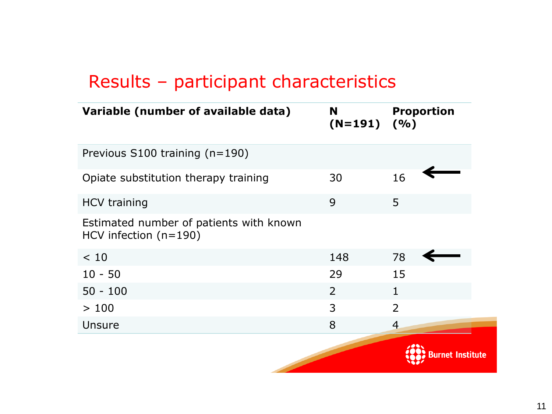### Results – participant characteristics

| Variable (number of available data)                                | N<br>$(N=191)$ $(%$ | <b>Proportion</b>        |
|--------------------------------------------------------------------|---------------------|--------------------------|
| Previous S100 training (n=190)                                     |                     |                          |
| Opiate substitution therapy training                               | 30                  | 16                       |
| <b>HCV training</b>                                                | 9                   | 5                        |
| Estimated number of patients with known<br>HCV infection $(n=190)$ |                     |                          |
| < 10                                                               | 148                 | 78                       |
| $10 - 50$                                                          | 29                  | 15                       |
| $50 - 100$                                                         | $\overline{2}$      | 1                        |
| >100                                                               | 3                   | $\overline{\phantom{0}}$ |
| Unsure                                                             | 8                   | $\overline{4}$           |
|                                                                    |                     | Burnet Institute         |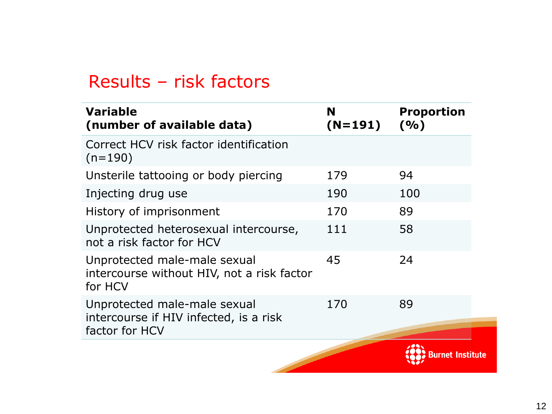#### Results – risk factors

| <b>Variable</b><br>(number of available data)                                            | N<br>$(N=191)$ | <b>Proportion</b><br>( %) |
|------------------------------------------------------------------------------------------|----------------|---------------------------|
| Correct HCV risk factor identification<br>$(n=190)$                                      |                |                           |
| Unsterile tattooing or body piercing                                                     | 179            | 94                        |
| Injecting drug use                                                                       | 190            | 100                       |
| History of imprisonment                                                                  | 170            | 89                        |
| Unprotected heterosexual intercourse,<br>not a risk factor for HCV                       | 111            | 58                        |
| Unprotected male-male sexual<br>intercourse without HIV, not a risk factor<br>for HCV    | 45             | 24                        |
| Unprotected male-male sexual<br>intercourse if HIV infected, is a risk<br>factor for HCV | 170            | 89                        |
|                                                                                          |                | 3urnet Institute          |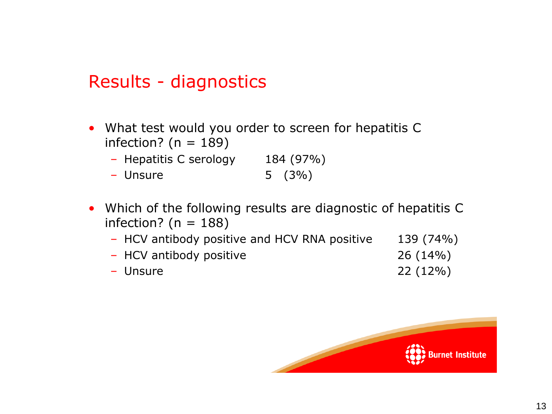#### Results - diagnostics

- What test would you order to screen for hepatitis C infection? ( $n = 189$ )
	- Hepatitis C serology 184 (97%)
	- Unsure 5 (3%)
- Which of the following results are diagnostic of hepatitis C infection? ( $n = 188$ )
	- HCV antibody positive and HCV RNA positive 139 (74%)
	- HCV antibody positive 26 (14%)
	- Unsure 22 (12%)

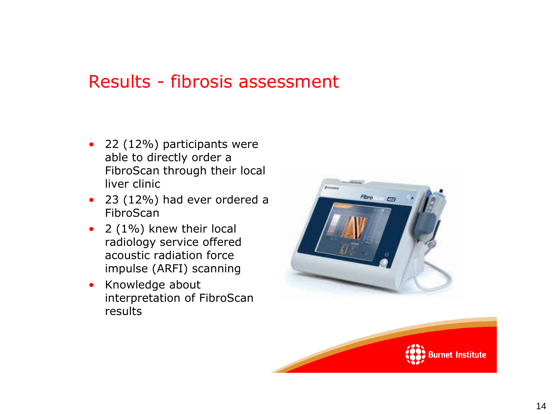### Results - fibrosis assessment

- 22 (12%) participants were able to directly order a FibroScan through their local liver clinic
- 23 (12%) had ever ordered a FibroScan
- 2 (1%) knew their local radiology service offered acoustic radiation force impulse (ARFI) scanning
- Knowledge about interpretation of FibroScan results



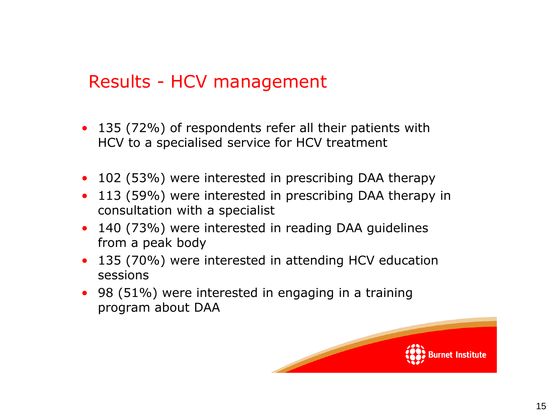### Results - HCV management

- 135 (72%) of respondents refer all their patients with HCV to a specialised service for HCV treatment
- 102 (53%) were interested in prescribing DAA therapy
- 113 (59%) were interested in prescribing DAA therapy in consultation with a specialist
- 140 (73%) were interested in reading DAA guidelines from a peak body
- 135 (70%) were interested in attending HCV education sessions
- 98 (51%) were interested in engaging in a training program about DAA

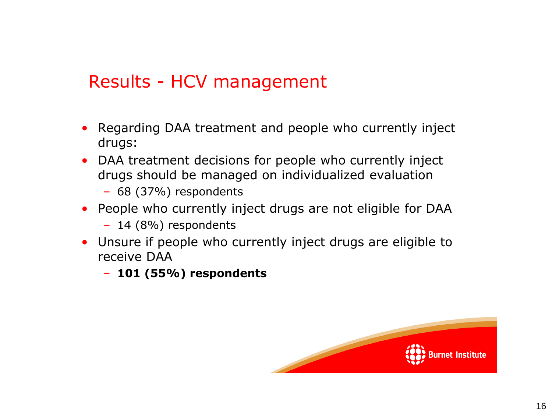### Results - HCV management

- Regarding DAA treatment and people who currently inject drugs:
- DAA treatment decisions for people who currently inject drugs should be managed on individualized evaluation
	- 68 (37%) respondents
- People who currently inject drugs are not eligible for DAA
	- 14 (8%) respondents
- Unsure if people who currently inject drugs are eligible to receive DAA
	- **101 (55%) respondents**

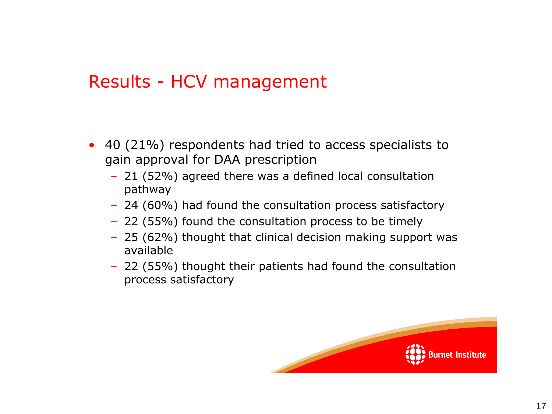#### Results - HCV management

- 40 (21%) respondents had tried to access specialists to gain approval for DAA prescription
	- 21 (52%) agreed there was a defined local consultation pathway
	- 24 (60%) had found the consultation process satisfactory
	- 22 (55%) found the consultation process to be timely
	- 25 (62%) thought that clinical decision making support was available
	- 22 (55%) thought their patients had found the consultation process satisfactory

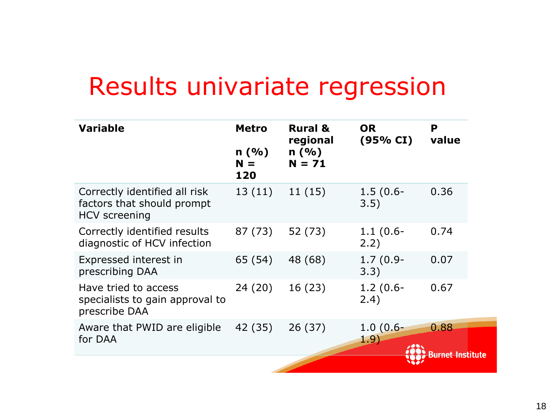# Results univariate regression

| <b>Variable</b>                                                                     | <b>Metro</b>                             | <b>Rural &amp;</b><br>regional | P<br><b>OR</b><br>(95% CI) | value                   |
|-------------------------------------------------------------------------------------|------------------------------------------|--------------------------------|----------------------------|-------------------------|
|                                                                                     | n(%)<br>n(%)<br>$N = 71$<br>$N =$<br>120 |                                |                            |                         |
| Correctly identified all risk<br>factors that should prompt<br><b>HCV</b> screening | 13(11)                                   | 11(15)                         | $1.5(0.6 -$<br>3.5)        | 0.36                    |
| Correctly identified results<br>diagnostic of HCV infection                         | 87 (73)                                  | 52 (73)                        | $1.1(0.6 -$<br>2.2)        | 0.74                    |
| Expressed interest in<br>prescribing DAA                                            | 65 (54)                                  | 48 (68)                        | $1.7(0.9-$<br>3.3)         | 0.07                    |
| Have tried to access<br>specialists to gain approval to<br>prescribe DAA            | 24(20)                                   | 16(23)                         | $1.2(0.6 -$<br>2.4)        | 0.67                    |
| Aware that PWID are eligible                                                        | 42 (35)                                  | 26(37)                         | $1.0(0.6 -$                | 0.88                    |
| for DAA                                                                             |                                          |                                | 1.9)                       |                         |
|                                                                                     |                                          |                                |                            | <b>Rurnet Institute</b> |
|                                                                                     |                                          |                                |                            |                         |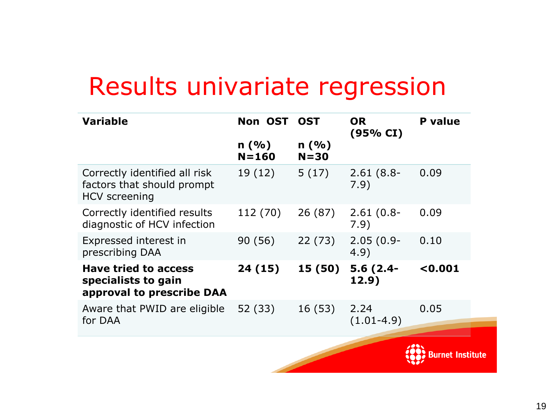# Results univariate regression

| <b>Variable</b>                                                                     | Non OST           | <b>OST</b>       | <b>OR</b><br>(95% CI) | <b>P</b> value   |
|-------------------------------------------------------------------------------------|-------------------|------------------|-----------------------|------------------|
|                                                                                     | n(%)<br>$N = 160$ | n(%)<br>$N = 30$ |                       |                  |
| Correctly identified all risk<br>factors that should prompt<br><b>HCV</b> screening | 19 (12)           | 5(17)            | $2.61(8.8 -$<br>7.9)  | 0.09             |
| Correctly identified results<br>diagnostic of HCV infection                         | 112 (70)          | 26(87)           | $2.61(0.8 -$<br>7.9)  | 0.09             |
| Expressed interest in<br>prescribing DAA                                            | 90 (56)           | 22(73)           | $2.05(0.9 -$<br>4.9)  | 0.10             |
| <b>Have tried to access</b><br>specialists to gain<br>approval to prescribe DAA     | 24(15)            | 15(50)           | $5.6(2.4-$<br>12.9)   | < 0.001          |
| Aware that PWID are eligible<br>for DAA                                             | 52 (33)           | 16(53)           | 2.24<br>$(1.01-4.9)$  | 0.05             |
|                                                                                     |                   |                  |                       | <b>Institute</b> |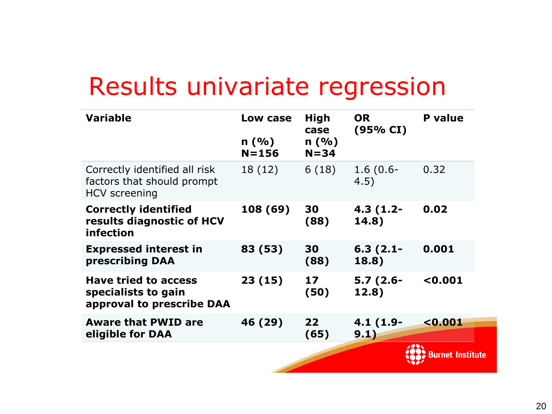# Results univariate regression

| <b>Variable</b>                                                                     | Low case          | High<br>case     | <b>OR</b><br>(95% CI) | <b>P</b> value  |
|-------------------------------------------------------------------------------------|-------------------|------------------|-----------------------|-----------------|
|                                                                                     | n(%)<br>$N = 156$ | n(%)<br>$N = 34$ |                       |                 |
| Correctly identified all risk<br>factors that should prompt<br><b>HCV</b> screening | 18 (12)           | 6(18)            | $1.6(0.6 -$<br>4.5)   | 0.32            |
| <b>Correctly identified</b><br>results diagnostic of HCV<br>infection               | 108 (69)          | 30<br>(88)       | $4.3(1.2 -$<br>14.8)  | 0.02            |
| <b>Expressed interest in</b><br>prescribing DAA                                     | 83 (53)           | 30<br>(88)       | $6.3(2.1 -$<br>18.8)  | 0.001           |
| <b>Have tried to access</b><br>specialists to gain<br>approval to prescribe DAA     | 23(15)            | 17<br>(50)       | $5.7(2.6 -$<br>12.8)  | 0.001           |
| <b>Aware that PWID are</b><br>eligible for DAA                                      | 46 (29)           | 22<br>(65)       | $4.1(1.9-$<br>9.1)    | < 0.001         |
|                                                                                     |                   |                  |                       | ırnet Institute |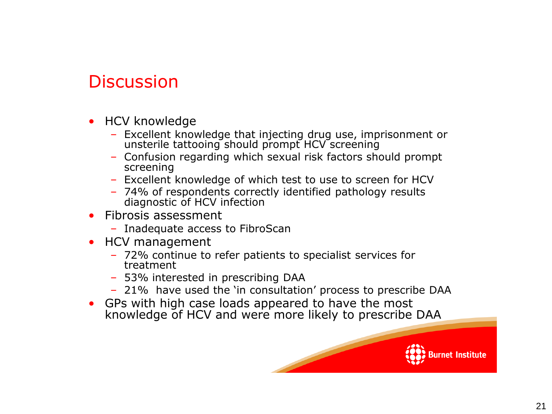## **Discussion**

- HCV knowledge
	- Excellent knowledge that injecting drug use, imprisonment or unsterile tattooing should prompt HCV screening
	- Confusion regarding which sexual risk factors should prompt screening
	- Excellent knowledge of which test to use to screen for HCV
	- 74% of respondents correctly identified pathology results diagnostic of HCV infection
- Fibrosis assessment
	- Inadequate access to FibroScan
- HCV management
	- 72% continue to refer patients to specialist services for treatment
	- 53% interested in prescribing DAA
	- 21% have used the 'in consultation' process to prescribe DAA
- GPs with high case loads appeared to have the most knowledge of HCV and were more likely to prescribe DAA

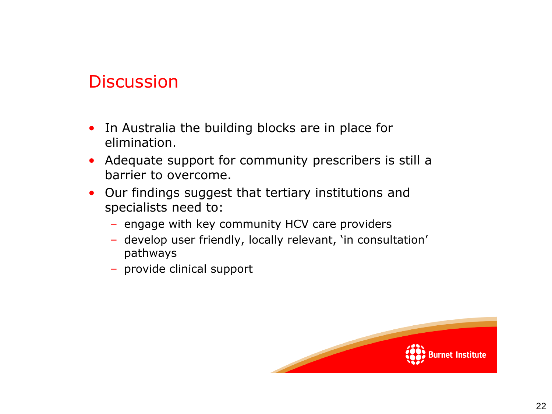#### **Discussion**

- In Australia the building blocks are in place for elimination.
- Adequate support for community prescribers is still a barrier to overcome.
- Our findings suggest that tertiary institutions and specialists need to:
	- engage with key community HCV care providers
	- develop user friendly, locally relevant, 'in consultation' pathways
	- provide clinical support

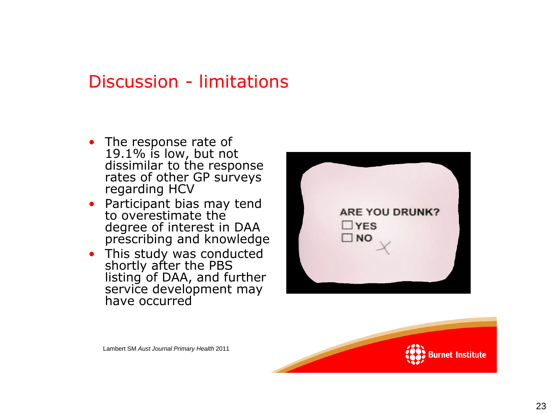#### Discussion - limitations

- The response rate of 19.1% is low, but not dissimilar to the response rates of other GP surveys regarding HCV
- Participant bias may tend to overestimate the degree of interest in DAA prescribing and knowledge
- This study was conducted shortly after the PBS listing of DAA, and further service development may have occurred





Lambert SM *Aust Journal Primary Health* 2011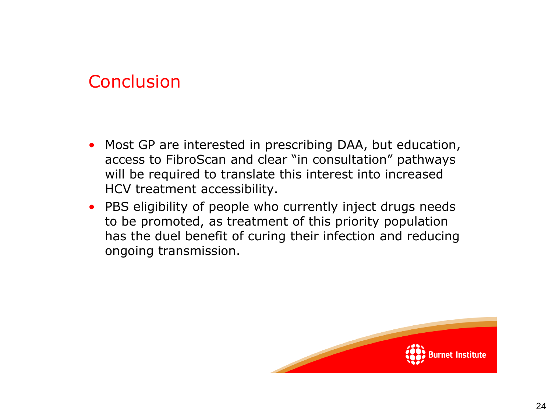#### **Conclusion**

- Most GP are interested in prescribing DAA, but education, access to FibroScan and clear "in consultation" pathways will be required to translate this interest into increased HCV treatment accessibility.
- PBS eligibility of people who currently inject drugs needs to be promoted, as treatment of this priority population has the duel benefit of curing their infection and reducing ongoing transmission.